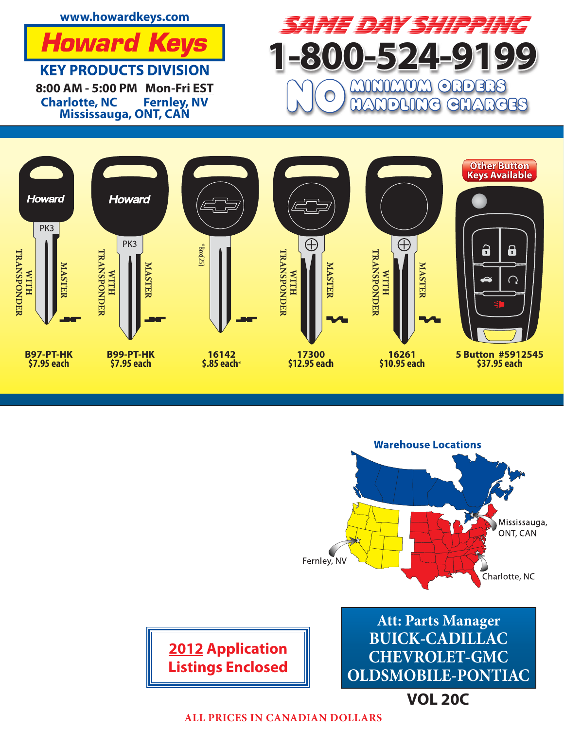**www.howardkeys.com**



**KEY PRODUCTS DIVISION 8:00 AM - 5:00 PM Mon-Fri EST Charlotte, NC Mississauga, ONT, CAN**







**VOL 20C**

**ALL PRICES IN CANADIAN DOLLARS**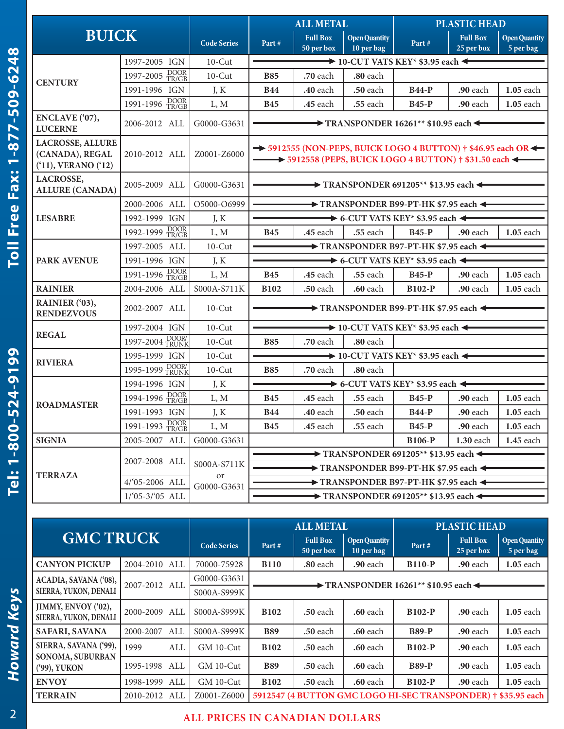|                                                                      |                   |                    |                                                              | <b>ALL METAL</b>                                                                                                                                                                      |                                    |                                                                              | <b>PLASTIC HEAD</b>           |                                   |  |
|----------------------------------------------------------------------|-------------------|--------------------|--------------------------------------------------------------|---------------------------------------------------------------------------------------------------------------------------------------------------------------------------------------|------------------------------------|------------------------------------------------------------------------------|-------------------------------|-----------------------------------|--|
| <b>BUICK</b>                                                         |                   | <b>Code Series</b> | Part#                                                        | <b>Full Box</b><br>50 per box                                                                                                                                                         | <b>Open Quantity</b><br>10 per bag | Part#                                                                        | <b>Full Box</b><br>25 per box | <b>Open Quantity</b><br>5 per bag |  |
|                                                                      | 1997-2005 IGN     | $10$ -Cut          | $\rightarrow$ 10-CUT VATS KEY* \$3.95 each $\leftarrow$      |                                                                                                                                                                                       |                                    |                                                                              |                               |                                   |  |
| <b>CENTURY</b>                                                       | 1997-2005 DOOR    | $10$ -Cut          | <b>B85</b>                                                   | .70 each                                                                                                                                                                              | .80 each                           |                                                                              |                               |                                   |  |
|                                                                      | 1991-1996 IGN     | J, K               | <b>B44</b>                                                   | .40 each                                                                                                                                                                              | .50 each                           | <b>B44-P</b>                                                                 | .90 each                      | 1.05 each                         |  |
|                                                                      | 1991-1996 DOOR    | L, M               | <b>B45</b>                                                   | .45 each                                                                                                                                                                              | .55 each                           | <b>B45-P</b>                                                                 | .90 each                      | 1.05 each                         |  |
| ENCLAVE ('07),<br><b>LUCERNE</b>                                     | 2006-2012 ALL     | G0000-G3631        |                                                              | $\rightarrow$ TRANSPONDER 16261** \$10.95 each $\leftarrow$                                                                                                                           |                                    |                                                                              |                               |                                   |  |
| <b>LACROSSE, ALLURE</b><br>(CANADA), REGAL<br>$(11)$ , VERANO $(12)$ | 2010-2012 ALL     | Z0001-Z6000        |                                                              | $\rightarrow$ 5912555 (NON-PEPS, BUICK LOGO 4 BUTTON) $\dagger$ \$46.95 each OR $\leftarrow$<br>$\rightarrow$ 5912558 (PEPS, BUICK LOGO 4 BUTTON) $\dagger$ \$31.50 each $\leftarrow$ |                                    |                                                                              |                               |                                   |  |
| LACROSSE,<br><b>ALLURE (CANADA)</b>                                  | 2005-2009 ALL     | G0000-G3631        |                                                              |                                                                                                                                                                                       |                                    | $\rightarrow$ TRANSPONDER 691205 <sup>**</sup> \$13.95 each $\leftarrow$     |                               |                                   |  |
|                                                                      | 2000-2006 ALL     | O5000-O6999        |                                                              |                                                                                                                                                                                       |                                    | $\rightarrow$ TRANSPONDER B99-PT-HK \$7.95 each $\leftarrow$                 |                               |                                   |  |
| <b>LESABRE</b>                                                       | 1992-1999 IGN     | J, K               | $\rightarrow$ 6-CUT VATS KEY* \$3.95 each $\leftarrow$       |                                                                                                                                                                                       |                                    |                                                                              |                               |                                   |  |
|                                                                      | 1992-1999 DOOR    | L, M               | <b>B45</b>                                                   | <b>.45</b> each                                                                                                                                                                       | <b>.55</b> each                    | <b>B45-P</b>                                                                 | $.90$ each                    | $1.05$ each                       |  |
| <b>PARK AVENUE</b>                                                   | 1997-2005 ALL     | $10$ -Cut          | $\rightarrow$ TRANSPONDER B97-PT-HK \$7.95 each $\leftarrow$ |                                                                                                                                                                                       |                                    |                                                                              |                               |                                   |  |
|                                                                      | 1991-1996 IGN     | J, K               | $\rightarrow$ 6-CUT VATS KEY* \$3.95 each $\leftarrow$       |                                                                                                                                                                                       |                                    |                                                                              |                               |                                   |  |
|                                                                      | 1991-1996 DOOR    | L, M               | <b>B45</b>                                                   | .45 each                                                                                                                                                                              | .55 each                           | <b>B45-P</b>                                                                 | .90 each                      | 1.05 each                         |  |
| <b>RAINIER</b>                                                       | 2004-2006 ALL     | S000A-S711K        | <b>B102</b>                                                  | .50 each                                                                                                                                                                              | .60 each                           | <b>B102-P</b>                                                                | .90 each                      | 1.05 each                         |  |
| RAINIER ('03),<br><b>RENDEZVOUS</b>                                  | 2002-2007 ALL     | $10$ -Cut          |                                                              |                                                                                                                                                                                       |                                    | $\rightarrow$ TRANSPONDER B99-PT-HK \$7.95 each $\leftarrow$                 |                               |                                   |  |
|                                                                      | 1997-2004 IGN     | $10$ -Cut          | $\rightarrow$ 10-CUT VATS KEY* \$3.95 each $\leftarrow$      |                                                                                                                                                                                       |                                    |                                                                              |                               |                                   |  |
| <b>REGAL</b>                                                         | 1997-2004 DOOR    | $10$ -Cut          | .80 each<br><b>B85</b><br>.70 each                           |                                                                                                                                                                                       |                                    |                                                                              |                               |                                   |  |
|                                                                      | 1995-1999 IGN     | $10$ -Cut          | $\rightarrow$ 10-CUT VATS KEY* \$3.95 each $\leftarrow$      |                                                                                                                                                                                       |                                    |                                                                              |                               |                                   |  |
| <b>RIVIERA</b>                                                       | 1995-1999 DOOR/   | $10$ -Cut          | <b>B85</b>                                                   | .70 each                                                                                                                                                                              | .80 each                           |                                                                              |                               |                                   |  |
|                                                                      | 1994-1996 IGN     | J, K               |                                                              |                                                                                                                                                                                       |                                    | $\rightarrow$ 6-CUT VATS KEY* \$3.95 each $\leftarrow$                       |                               |                                   |  |
| <b>ROADMASTER</b>                                                    | 1994-1996 DOOR    | L, M               | <b>B45</b>                                                   | .45 each                                                                                                                                                                              | .55 each                           | <b>B45-P</b>                                                                 | .90 each                      | 1.05 each                         |  |
|                                                                      | 1991-1993 IGN     | J, K               | <b>B44</b>                                                   | .40 each                                                                                                                                                                              | <b>.50 each</b>                    | <b>B44-P</b>                                                                 | .90 each                      | 1.05 each                         |  |
|                                                                      | 1991-1993 DOOR    | L, M               | <b>B45</b>                                                   | <b>.45 each</b>                                                                                                                                                                       | <b>.55</b> each                    | <b>B45-P</b>                                                                 | <b>.90</b> each               | $\vert$ 1.05 each                 |  |
| <b>SIGNIA</b>                                                        | 2005-2007 ALL     | G0000-G3631        |                                                              |                                                                                                                                                                                       |                                    | <b>B106-P</b>                                                                | 1.30 each                     | 1.45 each                         |  |
|                                                                      |                   |                    |                                                              |                                                                                                                                                                                       |                                    | TRANSPONDER 691205** \$13.95 each $\triangleleft$                            |                               |                                   |  |
|                                                                      | 2007-2008 ALL     | S000A-S711K        |                                                              |                                                                                                                                                                                       |                                    | TRANSPONDER B99-PT-HK \$7.95 each <                                          |                               |                                   |  |
| <b>TERRAZA</b>                                                       | $4/65 - 2006$ ALL | or<br>G0000-G3631  |                                                              |                                                                                                                                                                                       |                                    | $\blacktriangleright$ TRANSPONDER B97-PT-HK \$7.95 each $\blacktriangleleft$ |                               |                                   |  |
|                                                                      | $1/65 - 3/65$ ALL |                    |                                                              |                                                                                                                                                                                       |                                    | $\blacktriangleright$ TRANSPONDER 691205** \$13.95 each $\blacktriangleleft$ |                               |                                   |  |

|                                              |                                        |                    | <b>ALL METAL</b> |                                                              |                                    | <b>PLASTIC HEAD</b> |                                                               |                                   |             |  |  |
|----------------------------------------------|----------------------------------------|--------------------|------------------|--------------------------------------------------------------|------------------------------------|---------------------|---------------------------------------------------------------|-----------------------------------|-------------|--|--|
| <b>GMC TRUCK</b>                             |                                        | <b>Code Series</b> | Part#            | <b>Full Box</b><br>50 per box                                | <b>Open Quantity</b><br>10 per bag | Part#               | <b>Full Box</b><br>25 per box                                 | <b>Open Quantity</b><br>5 per bag |             |  |  |
| <b>CANYON PICKUP</b>                         | 2004-2010 ALL                          |                    | 70000-75928      | <b>B110</b>                                                  | .80 each                           | .90 each            | <b>B110-P</b>                                                 | .90 each                          | $1.05$ each |  |  |
| ACADIA, SAVANA ('08),                        | 2007-2012 ALL<br>SIERRA, YUKON, DENALI |                    | G0000-G3631      |                                                              |                                    |                     |                                                               |                                   |             |  |  |
|                                              |                                        |                    | S000A-S999K      | $\rightarrow$ TRANSPONDER 16261** \$10.95 each $\rightarrow$ |                                    |                     |                                                               |                                   |             |  |  |
| JIMMY, ENVOY ('02),<br>SIERRA, YUKON, DENALI | 2000-2009 ALL                          |                    | S000A-S999K      | <b>B102</b>                                                  | <b>.50</b> each                    | <b>.60</b> each     | <b>B102-P</b>                                                 | <b>.90</b> each                   | $1.05$ each |  |  |
| <b>SAFARI, SAVANA</b>                        | 2000-2007                              | ALL                | S000A-S999K      | <b>B89</b>                                                   | <b>.50</b> each                    | $.60$ each          | <b>B89-P</b>                                                  | $.90$ each                        | $1.05$ each |  |  |
| SIERRA, SAVANA ('99),<br>SONOMA, SUBURBAN    | 1999                                   | ALL                | GM 10-Cut        | <b>B102</b>                                                  | <b>.50</b> each                    | $.60$ each          | <b>B102-P</b>                                                 | <b>.90</b> each                   | $1.05$ each |  |  |
| ('99), YUKON                                 | 1995-1998                              | ALL                | $GM$ 10-Cut      | <b>B89</b>                                                   | .50 each                           | <b>.60</b> each     | <b>B89-P</b>                                                  | $.90$ each                        | $1.05$ each |  |  |
| <b>ENVOY</b>                                 | 1998-1999                              | ALL                | $GM$ 10-Cut      | <b>B102</b>                                                  | <b>.50</b> each                    | <b>.60</b> each     | <b>B102-P</b>                                                 | $.90$ each                        | $1.05$ each |  |  |
| <b>TERRAIN</b>                               | 2010-2012 ALL                          |                    | Z0001-Z6000      |                                                              |                                    |                     | 5912547 (4 BUTTON GMC LOGO HI-SEC TRANSPONDER) † \$35.95 each |                                   |             |  |  |

# **ALL PRICES IN CANADIAN DOLLARS**

2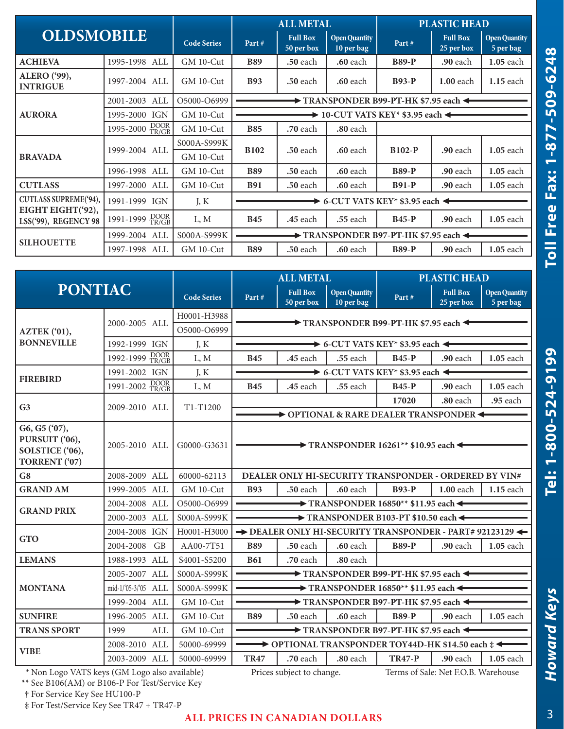| <b>OLDSMOBILE</b>                          |                              |                                           | <b>ALL METAL</b>                                                       |                                                                              |                                    | <b>PLASTIC HEAD</b>               |                               |                                   |  |  |
|--------------------------------------------|------------------------------|-------------------------------------------|------------------------------------------------------------------------|------------------------------------------------------------------------------|------------------------------------|-----------------------------------|-------------------------------|-----------------------------------|--|--|
|                                            |                              | <b>Code Series</b>                        | Part#                                                                  | <b>Full Box</b><br>50 per box                                                | <b>Open Quantity</b><br>10 per bag | Part#                             | <b>Full Box</b><br>25 per box | <b>Open Quantity</b><br>5 per bag |  |  |
| <b>ACHIEVA</b>                             | 1995-1998 ALL                | $GM$ 10-Cut                               | <b>B89</b>                                                             | .50 each                                                                     | <b>.60</b> each                    | <b>B89-P</b>                      | .90 each                      | $1.05$ each                       |  |  |
| <b>ALERO</b> ('99),<br><b>INTRIGUE</b>     | 1997-2004 ALL                | $GM$ 10-Cut                               | <b>B93</b>                                                             | <b>.50 each</b>                                                              | <b>.60</b> each                    | $B93-P$                           | $1.00$ each                   | $1.15$ each                       |  |  |
|                                            | 2001-2003 ALL                | O5000-O6999                               |                                                                        | $\blacktriangleright$ TRANSPONDER B99-PT-HK \$7.95 each $\blacktriangleleft$ |                                    |                                   |                               |                                   |  |  |
| <b>AURORA</b>                              | 1995-2000 IGN                | GM 10-Cut                                 | $\rightarrow$ 10-CUT VATS KEY* \$3.95 each $\blacktriangleleft$        |                                                                              |                                    |                                   |                               |                                   |  |  |
|                                            | 1995-2000 DOOR               | GM 10-Cut                                 | <b>B85</b>                                                             | <b>.70</b> each                                                              | .80 each                           |                                   |                               |                                   |  |  |
|                                            | 1999-2004 ALL                | S000A-S999K<br><b>B102</b><br>$GM$ 10-Cut |                                                                        | <b>.50 each</b>                                                              | <b>.60</b> each                    | <b>B102-P</b>                     | $.90$ each                    | $1.05$ each                       |  |  |
| <b>BRAVADA</b>                             |                              |                                           |                                                                        |                                                                              |                                    |                                   |                               |                                   |  |  |
|                                            | 1996-1998 ALL                | $GM$ 10-Cut                               | <b>B89</b>                                                             | .50 each                                                                     | <b>.60</b> each                    | <b>B89-P</b>                      | .90 each                      | $1.05$ each                       |  |  |
| <b>CUTLASS</b>                             | 1997-2000 ALL                | GM 10-Cut                                 | <b>B91</b>                                                             | <b>.50</b> each                                                              | <b>.60</b> each                    | $B91-P$                           | <b>.90</b> each               | 1.05 each                         |  |  |
| CUTLASS SUPREME('94),<br>EIGHT EIGHT('92), | 1991-1999 IGN                | J, K                                      | $\blacktriangleright$ 6-CUT VATS KEY* \$3.95 each $\blacktriangleleft$ |                                                                              |                                    |                                   |                               |                                   |  |  |
| LSS('99), REGENCY 98                       | $DOOR$<br>TR/GB<br>1991-1999 | L, M                                      | <b>B45</b>                                                             | .45 each                                                                     | .55 each                           | $B45-P$                           | $.90$ each                    | 1.05 each                         |  |  |
|                                            | 1999-2004 ALL                | S000A-S999K                               |                                                                        |                                                                              |                                    | TRANSPONDER B97-PT-HK \$7.95 each |                               |                                   |  |  |
| <b>SILHOUETTE</b>                          | 1997-1998 ALL                | GM 10-Cut                                 | <b>B89</b>                                                             | .50 each                                                                     | <b>.60</b> each                    | <b>B89-P</b>                      | <b>.90</b> each               | 1.05 each                         |  |  |

| <b>PONTIAC</b>                                                      |                            |                    | <b>ALL METAL</b>                                                   |                                                         |                                    | <b>PLASTIC HEAD</b>                                                  |                               |                                   |  |  |
|---------------------------------------------------------------------|----------------------------|--------------------|--------------------------------------------------------------------|---------------------------------------------------------|------------------------------------|----------------------------------------------------------------------|-------------------------------|-----------------------------------|--|--|
|                                                                     |                            | <b>Code Series</b> | Part#                                                              | <b>Full Box</b><br>50 per box                           | <b>Open Quantity</b><br>10 per bag | Part#                                                                | <b>Full Box</b><br>25 per box | <b>Open Quantity</b><br>5 per bag |  |  |
|                                                                     | 2000-2005 ALL              | H0001-H3988        | TRANSPONDER B99-PT-HK \$7.95 each                                  |                                                         |                                    |                                                                      |                               |                                   |  |  |
| AZTEK (°01),                                                        |                            | O5000-O6999        |                                                                    |                                                         |                                    |                                                                      |                               |                                   |  |  |
| <b>BONNEVILLE</b>                                                   | 1992-1999 IGN              | J, K               |                                                                    | $\rightarrow$ 6-CUT VATS KEY* \$3.95 each $\rightarrow$ |                                    |                                                                      |                               |                                   |  |  |
|                                                                     | DOOR<br>TR/GB<br>1992-1999 | L, M               | <b>B45</b>                                                         | <b>.45</b> each                                         | .55 each                           | <b>B45-P</b>                                                         | .90 each                      | 1.05 each                         |  |  |
| <b>FIREBIRD</b>                                                     | 1991-2002 IGN              | J, K               |                                                                    |                                                         |                                    | $\rightarrow$ 6-CUT VATS KEY* \$3.95 each $\leftarrow$               |                               |                                   |  |  |
|                                                                     | 1991-2002 DOOR             | L, M               | <b>B45</b>                                                         | <b>.45</b> each                                         | .55 each                           | <b>B45-P</b>                                                         | .90 each                      | $1.05$ each                       |  |  |
| G <sub>3</sub>                                                      | 2009-2010 ALL              | T1-T1200           |                                                                    |                                                         |                                    | 17020                                                                | $.80$ each                    | .95 each                          |  |  |
|                                                                     |                            |                    |                                                                    |                                                         |                                    | $\rightarrow$ OPTIONAL & RARE DEALER TRANSPONDER $\leftarrow$        |                               |                                   |  |  |
| G6, G5 ('07),<br>PURSUIT ('06),<br>SOLSTICE ('06),<br>TORRENT ('07) | 2005-2010 ALL              | G0000-G3631        | $\rightarrow$ TRANSPONDER 16261** \$10.95 each $\leftarrow$        |                                                         |                                    |                                                                      |                               |                                   |  |  |
| G <sub>8</sub>                                                      | 2008-2009 ALL              | 60000-62113        |                                                                    |                                                         |                                    | DEALER ONLY HI-SECURITY TRANSPONDER - ORDERED BY VIN#                |                               |                                   |  |  |
| <b>GRAND AM</b>                                                     | 1999-2005 ALL              | $GM$ 10-Cut        | <b>B93</b>                                                         | .50 each                                                | $.60$ each                         | $B93-P$                                                              | $1.00$ each                   | $1.15$ each                       |  |  |
| <b>GRAND PRIX</b>                                                   | 2004-2008 ALL              | O5000-O6999        | $\rightarrow$ TRANSPONDER 16850** \$11.95 each $\leftarrow$        |                                                         |                                    |                                                                      |                               |                                   |  |  |
|                                                                     | 2000-2003 ALL              | S000A-S999K        | TRANSPONDER B103-PT \$10.50 each <                                 |                                                         |                                    |                                                                      |                               |                                   |  |  |
| <b>GTO</b>                                                          | 2004-2008 IGN              | H0001-H3000        | $\rightarrow$ DEALER ONLY HI-SECURITY TRANSPONDER - PART# 92123129 |                                                         |                                    |                                                                      |                               |                                   |  |  |
|                                                                     | 2004-2008<br><b>GB</b>     | AA00-7T51          | <b>B89</b>                                                         | .50 each                                                | .60 each                           | <b>B89-P</b>                                                         | .90 each                      | 1.05 each                         |  |  |
| <b>LEMANS</b>                                                       | 1988-1993 ALL              | S4001-S5200        | <b>B61</b>                                                         | .70 each                                                | .80 each                           |                                                                      |                               |                                   |  |  |
|                                                                     | 2005-2007 ALL              | S000A-S999K        | $\rightarrow$ TRANSPONDER B99-PT-HK \$7.95 each $\triangleleft$    |                                                         |                                    |                                                                      |                               |                                   |  |  |
| <b>MONTANA</b>                                                      | mid-1/'05-3/'05 ALL        | S000A-S999K        |                                                                    |                                                         |                                    | $\rightarrow$ TRANSPONDER 16850** \$11.95 each $\leftarrow$          |                               |                                   |  |  |
|                                                                     | 1999-2004 ALL              | GM 10-Cut          |                                                                    |                                                         |                                    | $\rightarrow$ TRANSPONDER B97-PT-HK \$7.95 each $\leftarrow$         |                               |                                   |  |  |
| <b>SUNFIRE</b>                                                      | 1996-2005 ALL              | GM 10-Cut          | <b>B89</b>                                                         | .50 each                                                | <b>.60</b> each                    | <b>B89-P</b>                                                         | .90 each                      | 1.05 each                         |  |  |
| <b>TRANS SPORT</b>                                                  | 1999<br><b>ALL</b>         | GM 10-Cut          |                                                                    |                                                         |                                    | $\rightarrow$ TRANSPONDER B97-PT-HK \$7.95 each $\leftarrow$         |                               |                                   |  |  |
| <b>VIBE</b>                                                         | 2008-2010 ALL              | 50000-69999        |                                                                    |                                                         |                                    | $\rightarrow$ OPTIONAL TRANSPONDER TOY44D-HK \$14.50 each $\ddagger$ |                               |                                   |  |  |
|                                                                     | 2003-2009 ALL              | 50000-69999        | <b>TR47</b>                                                        | .70 each                                                | $.80$ each                         | <b>TR47-P</b>                                                        | $.90$ each                    | $1.05$ each                       |  |  |

\* Non Logo VATS keys (GM Logo also available) Prices subject to change. Terms of Sale: Net F.O.B. Warehouse

\*\* See B106(AM) or B106-P For Test/Service Key

**†** For Service Key See HU100-P

**‡** For Test/Service Key See TR47 + TR47-P

### **ALL PRICES IN CANADIAN DOLLARS**

**Howard Keys** 

Tel: 1-800-524-9199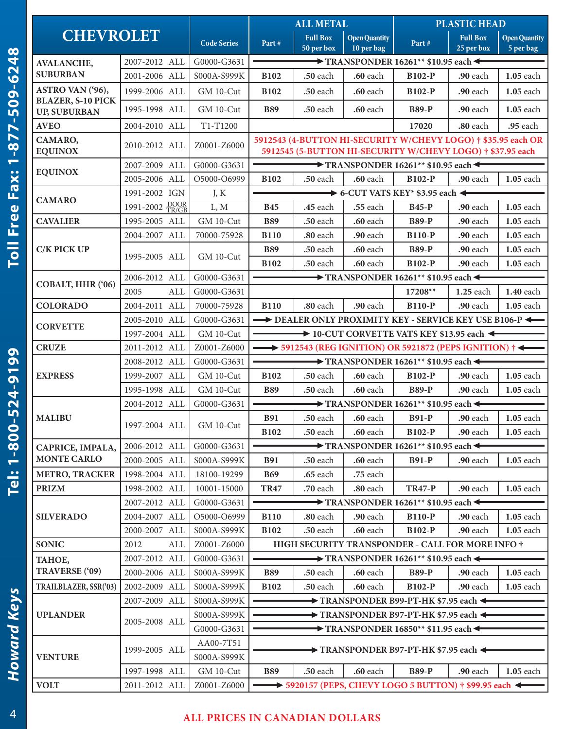|                                              |                |                    | <b>ALL METAL</b>                                            |                               |                                    | <b>PLASTIC HEAD</b>                                                                                                         |                               |                                   |  |
|----------------------------------------------|----------------|--------------------|-------------------------------------------------------------|-------------------------------|------------------------------------|-----------------------------------------------------------------------------------------------------------------------------|-------------------------------|-----------------------------------|--|
| <b>CHEVROLET</b>                             |                | <b>Code Series</b> | Part#                                                       | <b>Full Box</b><br>50 per box | <b>Open Quantity</b><br>10 per bag | Part#                                                                                                                       | <b>Full Box</b><br>25 per box | <b>Open Quantity</b><br>5 per bag |  |
| <b>AVALANCHE,</b>                            | 2007-2012 ALL  | G0000-G3631        |                                                             |                               |                                    | $\rightarrow$ TRANSPONDER 16261** \$10.95 each $\leftarrow$                                                                 |                               |                                   |  |
| <b>SUBURBAN</b>                              | 2001-2006 ALL  | S000A-S999K        | <b>B102</b>                                                 | .50 each                      | .60 each                           | <b>B102-P</b>                                                                                                               | <b>.90</b> each               | 1.05 each                         |  |
| ASTRO VAN ('96),<br><b>BLAZER, S-10 PICK</b> | 1999-2006 ALL  | GM 10-Cut          | <b>B102</b>                                                 | .50 each                      | .60 each                           | <b>B102-P</b>                                                                                                               | .90 each                      | 1.05 each                         |  |
| <b>UP, SUBURBAN</b>                          | 1995-1998 ALL  | GM 10-Cut          | <b>B89</b>                                                  | .50 each                      | <b>.60</b> each                    | <b>B89-P</b>                                                                                                                | $.90$ each                    | 1.05 each                         |  |
| <b>AVEO</b>                                  | 2004-2010 ALL  | T1-T1200           |                                                             |                               |                                    | 17020                                                                                                                       | .80 each                      | .95 each                          |  |
| CAMARO,<br><b>EQUINOX</b>                    | 2010-2012 ALL  | Z0001-Z6000        |                                                             |                               |                                    | 5912543 (4-BUTTON HI-SECURITY W/CHEVY LOGO) † \$35.95 each OR<br>5912545 (5-BUTTON HI-SECURITY W/CHEVY LOGO) † \$37.95 each |                               |                                   |  |
|                                              | 2007-2009 ALL  | G0000-G3631        |                                                             |                               |                                    | $\longrightarrow$ TRANSPONDER 16261** \$10.95 each $\leftarrow$                                                             |                               |                                   |  |
| <b>EQUINOX</b>                               | 2005-2006 ALL  | O5000-O6999        | <b>B102</b>                                                 | .50 each                      | .60 each                           | <b>B102-P</b>                                                                                                               | <b>.90</b> each               | 1.05 each                         |  |
|                                              | 1991-2002 IGN  | J, K               |                                                             |                               |                                    | $\rightarrow$ 6-CUT VATS KEY* \$3.95 each $\leftarrow$                                                                      |                               |                                   |  |
| <b>CAMARO</b>                                | 1991-2002 DOOR | L, M               | <b>B45</b>                                                  | .45 each                      | .55 each                           | <b>B45-P</b>                                                                                                                | .90 each                      | 1.05 each                         |  |
| <b>CAVALIER</b>                              | 1995-2005 ALL  | GM 10-Cut          | <b>B89</b>                                                  | .50 each                      | <b>.60</b> each                    | <b>B89-P</b>                                                                                                                | .90 each                      | 1.05 each                         |  |
|                                              | 2004-2007 ALL  | 70000-75928        | <b>B110</b>                                                 | .80 each                      | .90 each                           | <b>B110-P</b>                                                                                                               | .90 each                      | 1.05 each                         |  |
| <b>C/K PICK UP</b>                           |                |                    | <b>B89</b>                                                  | <b>.50</b> each               | <b>.60</b> each                    | <b>B89-P</b>                                                                                                                | .90 each                      | $1.05$ each                       |  |
|                                              | 1995-2005 ALL  | $GM$ 10-Cut        | <b>B102</b>                                                 | .50 each                      | .60 each                           | <b>B102-P</b>                                                                                                               | $.90$ each                    | 1.05 each                         |  |
|                                              | 2006-2012 ALL  | G0000-G3631        |                                                             |                               |                                    | $\rightarrow$ TRANSPONDER 16261** \$10.95 each $\leftarrow$                                                                 |                               |                                   |  |
| COBALT, HHR ('06)                            | 2005<br>ALL    | G0000-G3631        |                                                             |                               |                                    | 17208**                                                                                                                     | 1.25 each                     | <b>1.40</b> each                  |  |
| <b>COLORADO</b>                              | 2004-2011 ALL  | 70000-75928        | <b>B110</b>                                                 | .80 each                      | .90 each                           | <b>B110-P</b>                                                                                                               | .90 each                      | $1.05$ each                       |  |
|                                              | 2005-2010 ALL  | G0000-G3631        | DEALER ONLY PROXIMITY KEY - SERVICE KEY USE B106-P          |                               |                                    |                                                                                                                             |                               |                                   |  |
| <b>CORVETTE</b>                              | 1997-2004 ALL  | GM 10-Cut          | 10-CUT CORVETTE VATS KEY \$13.95 each <                     |                               |                                    |                                                                                                                             |                               |                                   |  |
| <b>CRUZE</b>                                 | 2011-2012 ALL  | Z0001-Z6000        |                                                             |                               |                                    | $\longrightarrow$ 5912543 (REG IGNITION) OR 5921872 (PEPS IGNITION) $\dagger$                                               |                               |                                   |  |
|                                              | 2008-2012 ALL  | G0000-G3631        | $\rightarrow$ TRANSPONDER 16261** \$10.95 each $\leftarrow$ |                               |                                    |                                                                                                                             |                               |                                   |  |
| <b>EXPRESS</b>                               | 1999-2007 ALL  | GM 10-Cut          | <b>B102</b>                                                 | <b>.50</b> each               | <b>.60</b> each                    | <b>B102-P</b>                                                                                                               | .90 each                      | 1.05 each                         |  |
|                                              | 1995-1998 ALL  | GM 10-Cut          | <b>B89</b>                                                  | .50 each                      | $.60$ each                         | <b>B89-P</b>                                                                                                                | .90 each                      | 1.05 each                         |  |
|                                              | 2004-2012 ALL  | G0000-G3631        |                                                             |                               |                                    | $\rightarrow$ TRANSPONDER 16261** \$10.95 each $\leftarrow$                                                                 |                               |                                   |  |
| <b>MALIBU</b>                                | 1997-2004 ALL  |                    | <b>B91</b>                                                  | <b>.50</b> each               | .60 each                           | <b>B91-P</b>                                                                                                                | .90 each                      | 1.05 each                         |  |
|                                              |                | GM 10-Cut          | <b>B102</b>                                                 | .50 each                      | .60 each                           | <b>B102-P</b>                                                                                                               | .90 each                      | 1.05 each                         |  |
| CAPRICE, IMPALA,                             | 2006-2012 ALL  | G0000-G3631        |                                                             |                               |                                    | $\blacktriangleright$ TRANSPONDER 16261** \$10.95 each $\blacktriangleleft$                                                 |                               |                                   |  |
| <b>MONTE CARLO</b>                           | 2000-2005 ALL  | S000A-S999K        | <b>B91</b>                                                  | <b>.50</b> each               | .60 each                           | <b>B91-P</b>                                                                                                                | <b>.90</b> each               | 1.05 each                         |  |
| <b>METRO, TRACKER</b>                        | 1998-2004 ALL  | 18100-19299        | <b>B69</b>                                                  | .65 each                      | .75 each                           |                                                                                                                             |                               |                                   |  |
| <b>PRIZM</b>                                 | 1998-2002 ALL  | 10001-15000        | <b>TR47</b>                                                 | .70 each                      | .80 each                           | <b>TR47-P</b>                                                                                                               | .90 each                      | 1.05 each                         |  |
|                                              | 2007-2012 ALL  | G0000-G3631        |                                                             |                               |                                    | $\rightarrow$ TRANSPONDER 16261** \$10.95 each $\leftarrow$                                                                 |                               |                                   |  |
| <b>SILVERADO</b>                             | 2004-2007 ALL  | O5000-O6999        | <b>B110</b>                                                 | .80 each                      | .90 each                           | <b>B110-P</b>                                                                                                               | .90 each                      | 1.05 each                         |  |
|                                              | 2000-2007 ALL  | S000A-S999K        | <b>B102</b>                                                 | .50 each                      | <b>.60</b> each                    | <b>B102-P</b>                                                                                                               | .90 each                      | 1.05 each                         |  |
| <b>SONIC</b>                                 | 2012<br>ALL    | Z0001-Z6000        |                                                             |                               |                                    | HIGH SECURITY TRANSPONDER - CALL FOR MORE INFO †                                                                            |                               |                                   |  |
| TAHOE,                                       | 2007-2012 ALL  | G0000-G3631        |                                                             |                               |                                    | $\rightarrow$ TRANSPONDER 16261** \$10.95 each $\leftarrow$                                                                 |                               |                                   |  |
| TRAVERSE ('09)                               | 2000-2006 ALL  | S000A-S999K        | <b>B89</b>                                                  | .50 each                      | .60 each                           | <b>B89-P</b>                                                                                                                | .90 each                      | 1.05 each                         |  |
| TRAILBLAZER, SSR('03)                        | 2002-2009 ALL  | S000A-S999K        | <b>B102</b>                                                 | .50 each                      | <b>.60</b> each                    | <b>B102-P</b>                                                                                                               | .90 each                      | 1.05 each                         |  |
|                                              | 2007-2009 ALL  | S000A-S999K        |                                                             |                               |                                    | $\rightarrow$ TRANSPONDER B99-PT-HK \$7.95 each $\leftarrow$                                                                |                               |                                   |  |
| <b>UPLANDER</b>                              |                | S000A-S999K        |                                                             |                               |                                    | $\rightarrow$ TRANSPONDER B97-PT-HK \$7.95 each $\leftarrow$                                                                |                               |                                   |  |
|                                              | 2005-2008 ALL  | G0000-G3631        |                                                             |                               |                                    | $\rightarrow$ TRANSPONDER 16850** \$11.95 each $\leftarrow$                                                                 |                               |                                   |  |
|                                              |                | AA00-7T51          |                                                             |                               |                                    |                                                                                                                             |                               |                                   |  |
| <b>VENTURE</b>                               | 1999-2005 ALL  | S000A-S999K        |                                                             |                               |                                    | $\blacktriangleright$ TRANSPONDER B97-PT-HK \$7.95 each $\blacktriangleleft$                                                |                               |                                   |  |
|                                              | 1997-1998 ALL  | GM 10-Cut          | <b>B89</b>                                                  | .50 each                      | .60 each                           | <b>B89-P</b>                                                                                                                | .90 each                      | 1.05 each                         |  |
| <b>VOLT</b>                                  | 2011-2012 ALL  | Z0001-Z6000        |                                                             |                               |                                    | $\rightarrow$ 5920157 (PEPS, CHEVY LOGO 5 BUTTON) † \$99.95 each $\leftarrow$                                               |                               |                                   |  |

# **ALL PRICES IN CANADIAN DOLLARS**

4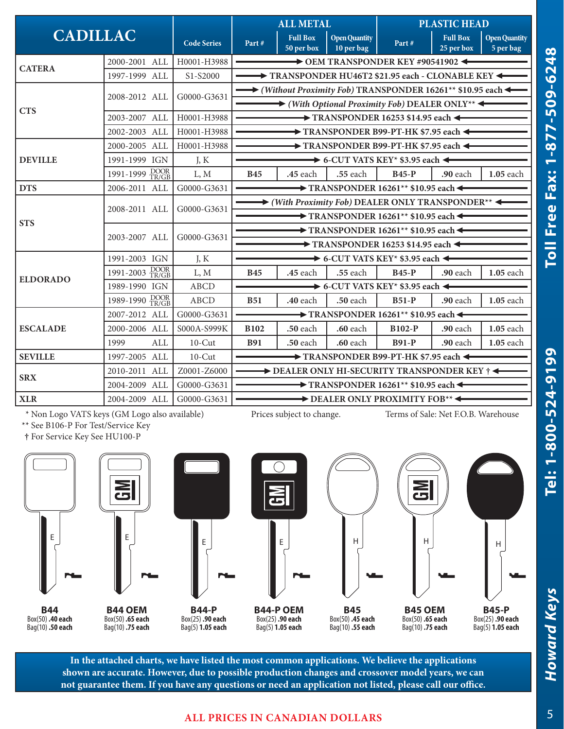|                 |                         |                    | <b>ALL METAL</b>                                                                                                            |                                                           |                                    | <b>PLASTIC HEAD</b>                                                      |                               |                                   |  |  |
|-----------------|-------------------------|--------------------|-----------------------------------------------------------------------------------------------------------------------------|-----------------------------------------------------------|------------------------------------|--------------------------------------------------------------------------|-------------------------------|-----------------------------------|--|--|
| <b>CADILLAC</b> |                         | <b>Code Series</b> | Part#                                                                                                                       | <b>Full Box</b><br>50 per box                             | <b>Open Quantity</b><br>10 per bag | Part#                                                                    | <b>Full Box</b><br>25 per box | <b>Open Quantity</b><br>5 per bag |  |  |
| <b>CATERA</b>   | 2000-2001 ALL           | H0001-H3988        | $\rightarrow$ OEM TRANSPONDER KEY #90541902 $\rightarrow$                                                                   |                                                           |                                    |                                                                          |                               |                                   |  |  |
|                 | 1997-1999 ALL           | S1-S2000           |                                                                                                                             |                                                           |                                    | TRANSPONDER HU46T2 \$21.95 each - CLONABLE KEY                           |                               |                                   |  |  |
|                 | 2008-2012 ALL           | G0000-G3631        |                                                                                                                             |                                                           |                                    | → (Without Proximity Fob) TRANSPONDER 16261 <sup>**</sup> \$10.95 each < |                               |                                   |  |  |
| <b>CTS</b>      |                         |                    |                                                                                                                             |                                                           |                                    | $\rightarrow$ (With Optional Proximity Fob) DEALER ONLY**                |                               |                                   |  |  |
|                 | 2003-2007 ALL           | H0001-H3988        |                                                                                                                             | $\rightarrow$ TRANSPONDER 16253 \$14.95 each $\leftarrow$ |                                    |                                                                          |                               |                                   |  |  |
|                 | 2002-2003 ALL           | H0001-H3988        | TRANSPONDER B99-PT-HK \$7.95 each                                                                                           |                                                           |                                    |                                                                          |                               |                                   |  |  |
|                 | 2000-2005 ALL           | H0001-H3988        |                                                                                                                             |                                                           |                                    | $\rightarrow$ TRANSPONDER B99-PT-HK \$7.95 each $\leftarrow$             |                               |                                   |  |  |
| <b>DEVILLE</b>  | 1991-1999 IGN           | J, K               |                                                                                                                             |                                                           |                                    | $\rightarrow$ 6-CUT VATS KEY* \$3.95 each $\leftarrow$                   |                               |                                   |  |  |
|                 | 1991-1999 DOOR<br>TR/GB | L, M               | <b>B45</b>                                                                                                                  | <b>.45</b> each                                           | <b>.55</b> each                    | <b>B45-P</b>                                                             | <b>.90</b> each               | 1.05 each                         |  |  |
| <b>DTS</b>      | 2006-2011 ALL           | G0000-G3631        | $\rightarrow$ TRANSPONDER 16261** \$10.95 each $\leftarrow$                                                                 |                                                           |                                    |                                                                          |                               |                                   |  |  |
|                 | 2008-2011 ALL           | G0000-G3631        | $\rightarrow$ (With Proximity Fob) DEALER ONLY TRANSPONDER**<br>$\rightarrow$ TRANSPONDER 16261** \$10.95 each $\leftarrow$ |                                                           |                                    |                                                                          |                               |                                   |  |  |
| <b>STS</b>      |                         | G0000-G3631        | $\rightarrow$ TRANSPONDER 16261** \$10.95 each $\leftarrow$                                                                 |                                                           |                                    |                                                                          |                               |                                   |  |  |
|                 | 2003-2007 ALL           |                    | $\rightarrow$ TRANSPONDER 16253 \$14.95 each $\leftarrow$                                                                   |                                                           |                                    |                                                                          |                               |                                   |  |  |
|                 | 1991-2003 IGN           | J, K               | $\longrightarrow$ 6-CUT VATS KEY* \$3.95 each $\leftarrow$                                                                  |                                                           |                                    |                                                                          |                               |                                   |  |  |
|                 | 1991-2003 DOOR          | L, M               | <b>B45</b>                                                                                                                  | .45 each                                                  | .55 each                           | <b>B45-P</b>                                                             | .90 each                      | 1.05 each                         |  |  |
| <b>ELDORADO</b> | 1989-1990 IGN           | <b>ABCD</b>        |                                                                                                                             |                                                           |                                    | $\rightarrow$ 6-CUT VATS KEY* \$3.95 each $\leftarrow$                   |                               |                                   |  |  |
|                 | 1989-1990 DOOR          | <b>ABCD</b>        | <b>B51</b>                                                                                                                  | <b>.40</b> each                                           | .50 each                           | $B51-P$                                                                  | .90 each                      | 1.05 each                         |  |  |
|                 | 2007-2012 ALL           | G0000-G3631        | $\rightarrow$ TRANSPONDER 16261** \$10.95 each $\leftarrow$                                                                 |                                                           |                                    |                                                                          |                               |                                   |  |  |
| <b>ESCALADE</b> | 2000-2006 ALL           | S000A-S999K        | <b>B102</b>                                                                                                                 | .50 each                                                  | .60 each                           | <b>B102-P</b>                                                            | .90 each                      | 1.05 each                         |  |  |
|                 | 1999<br>ALL             | $10$ -Cut          | <b>B91</b>                                                                                                                  | .50 each                                                  | <b>.60</b> each                    | <b>B91-P</b>                                                             | .90 each                      | 1.05 each                         |  |  |
| <b>SEVILLE</b>  | 1997-2005 ALL           | $10$ -Cut          |                                                                                                                             |                                                           |                                    | TRANSPONDER B99-PT-HK \$7.95 each                                        |                               |                                   |  |  |
|                 | 2010-2011 ALL           | Z0001-Z6000        |                                                                                                                             |                                                           |                                    | DEALER ONLY HI-SECURITY TRANSPONDER KEY †                                |                               |                                   |  |  |
| <b>SRX</b>      | 2004-2009 ALL           | G0000-G3631        |                                                                                                                             |                                                           |                                    | $\longrightarrow$ TRANSPONDER 16261** \$10.95 each $\leftarrow$          |                               |                                   |  |  |
| <b>XLR</b>      | 2004-2009 ALL           | G0000-G3631        |                                                                                                                             |                                                           |                                    | DEALER ONLY PROXIMITY FOB**                                              |                               |                                   |  |  |

\* Non Logo VATS keys (GM Logo also available) Prices subject to change. Terms of Sale: Net F.O.B. Warehouse

\*\* See B106-P For Test/Service Key

**†** For Service Key See HU100-P



Bag(10) **.50 each**



Bag(10) **.75 each**

**B44-P** Box(25) **.90 each** Bag(5) **1.05 each**



**B45-P** Box(25) **.90 each** Bag(5) **1.05 each**

**In the attached charts, we have listed the most common applications. We believe the applications shown are accurate. However, due to possible production changes and crossover model years, we can not guarantee them. If you have any questions or need an application not listed, please call our office.**

Box(25) **.90 each**

#### **ALL PRICES IN CANADIAN DOLLARS**

**Howard Keys** 

*Howard Keys* **Tel: 1-800-524-9199 Toll Free Fax: 1-877-509-6248**

Tel: 1-800-524-9199

Toll Free Fax: 1-877-509-6248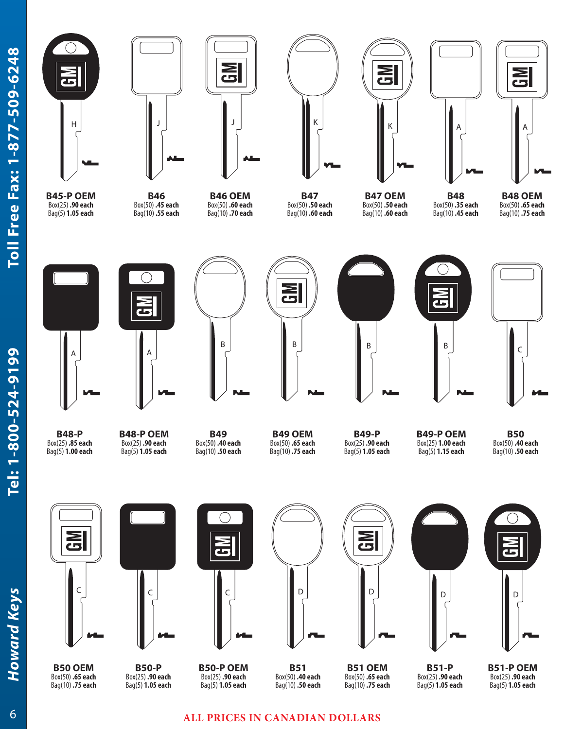

**B45-P OEM** Box(25) **.90 each** Bag(5) **1.05 each**



**B46** Box(50) **.45 each** Bag(10) **.55 each**



**B46 OEM** Box(50) **.60 each** Bag(10) **.70 each**

**B47** Box(50) **.50 each** Bag(10) **.60 each**



**B47 OEM** Box(50) **.50 each** Bag(10) **.60 each**



**B48** Box(50) **.35 each** Bag(10) **.45 each**





**B48 OEM** Box(50) **.65 each** Bag(10) **.75 each**





**B48-P** Box(25) **.85 each** Bag(5) **1.00 each**



**B49** Box(50) **.40 each** Bag(10) **.50 each**



**B49 OEM** Box(50) **.65 each** Bag(10) **.75 each**

**B49-P** Box(25) **.90 each** Bag(5) **1.05 each**

**B49-P OEM** Box(25) **1.00 each** Bag(5) **1.15 each**

 $\overline{\mathbf{d}}$ 

**B50** Box(50) **.40 each** Bag(10) **.50 each**

 $\overline{C}$ 





**B50-P** Box(25) **.90 each** Bag(5) **1.05 each**



**B50-P OEM** Box(25) **.90 each** Bag(5) **1.05 each**



**MD** 

**B51 OEM** Box(50) **.65 each** Bag(10) **.75 each**



Box(25) **.90 each** Bag(5) **1.05 each**



**B51-P OEM** Box(25) **.90 each** Bag(5) **1.05 each**

## **ALL PRICES IN CANADIAN DOLLARS**

**B51** Box(50) **.40 each** Bag(10) **.50 each**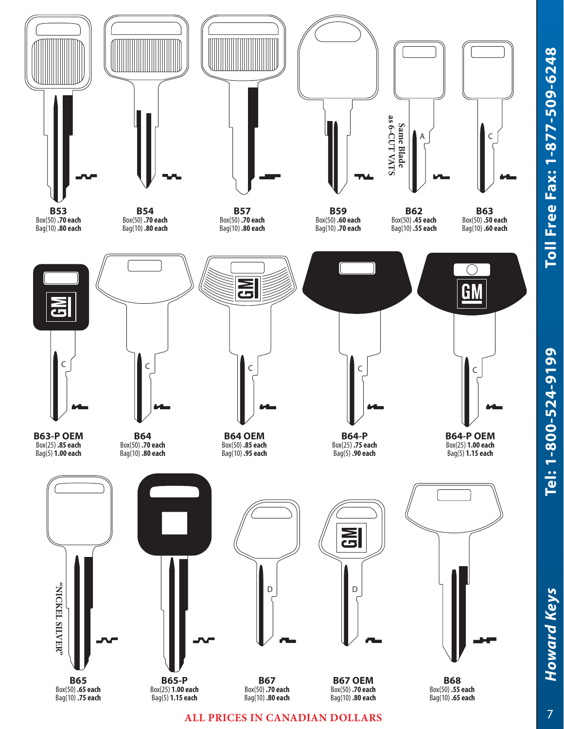Tel: 1-800-524-9199



**ALL PRICES IN CANADIAN DOLLARS**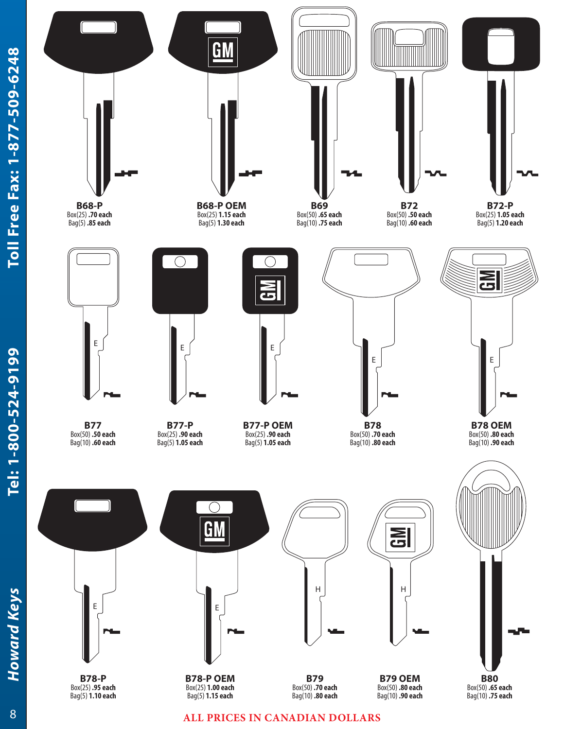Tel: 1-800-524-9199



**ALL PRICES IN CANADIAN DOLLARS**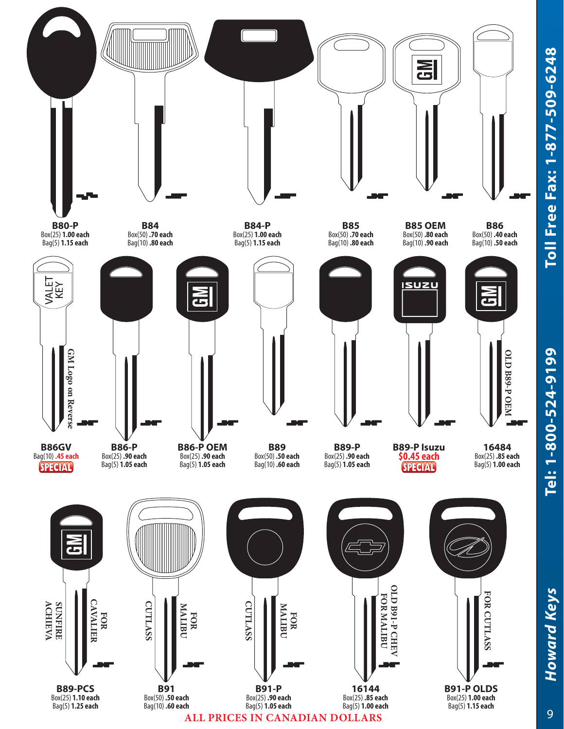

Toll Free Fax: 1-877-509-6248 *Howard Keys* **Tel: 1-800-524-9199 Toll Free Fax: 1-877-509-6248**

Tel: 1-800-524-9199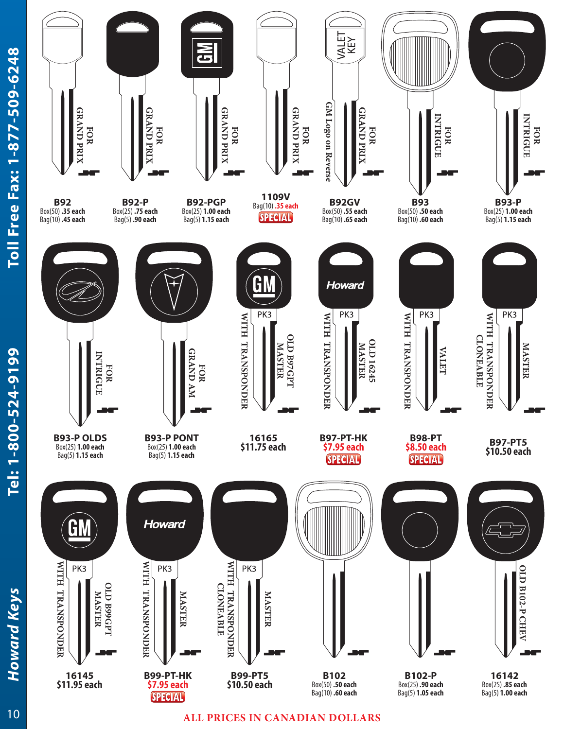Tel: 1-800-524-9199



### **ALL PRICES IN CANADIAN DOLLARS**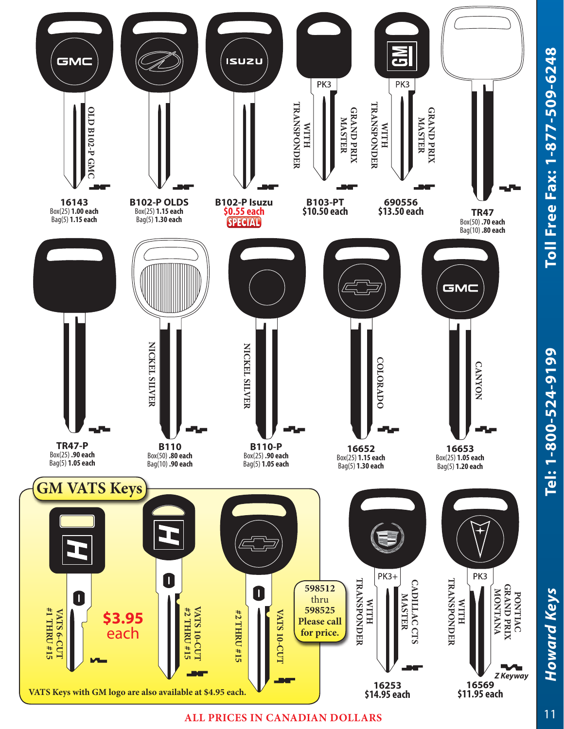



#### **ALL PRICES IN CANADIAN DOLLARS**